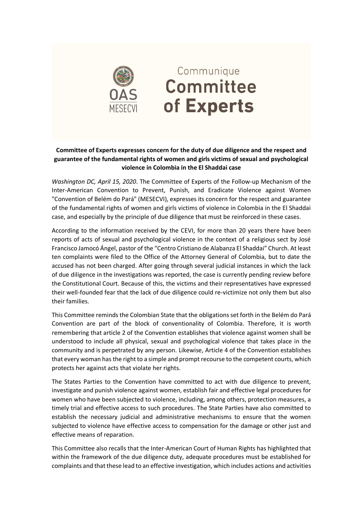

## Communique **Committee** of Experts

## **Committee of Experts expresses concern for the duty of due diligence and the respect and guarantee of the fundamental rights of women and girls victims of sexual and psychological violence in Colombia in the El Shaddai case**

*Washington DC, April 15, 2020*. The Committee of Experts of the Follow-up Mechanism of the Inter-American Convention to Prevent, Punish, and Eradicate Violence against Women "Convention of Belém do Pará" (MESECVI), expresses its concern for the respect and guarantee of the fundamental rights of women and girls victims of violence in Colombia in the El Shaddai case, and especially by the principle of due diligence that must be reinforced in these cases.

According to the information received by the CEVI, for more than 20 years there have been reports of acts of sexual and psychological violence in the context of a religious sect by José Francisco Jamocó Ángel, pastor of the "Centro Cristiano de Alabanza El Shaddai" Church. At least ten complaints were filed to the Office of the Attorney General of Colombia, but to date the accused has not been charged. After going through several judicial instances in which the lack of due diligence in the investigations was reported, the case is currently pending review before the Constitutional Court. Because of this, the victims and their representatives have expressed their well-founded fear that the lack of due diligence could re-victimize not only them but also their families.

This Committee reminds the Colombian State that the obligations set forth in the Belém do Pará Convention are part of the block of conventionality of Colombia. Therefore, it is worth remembering that article 2 of the Convention establishes that violence against women shall be understood to include all physical, sexual and psychological violence that takes place in the community and is perpetrated by any person. Likewise, Article 4 of the Convention establishes that every woman has the right to a simple and prompt recourse to the competent courts, which protects her against acts that violate her rights.

The States Parties to the Convention have committed to act with due diligence to prevent, investigate and punish violence against women, establish fair and effective legal procedures for women who have been subjected to violence, including, among others, protection measures, a timely trial and effective access to such procedures. The State Parties have also committed to establish the necessary judicial and administrative mechanisms to ensure that the women subjected to violence have effective access to compensation for the damage or other just and effective means of reparation.

This Committee also recalls that the Inter-American Court of Human Rights has highlighted that within the framework of the due diligence duty, adequate procedures must be established for complaints and that these lead to an effective investigation, which includes actions and activities